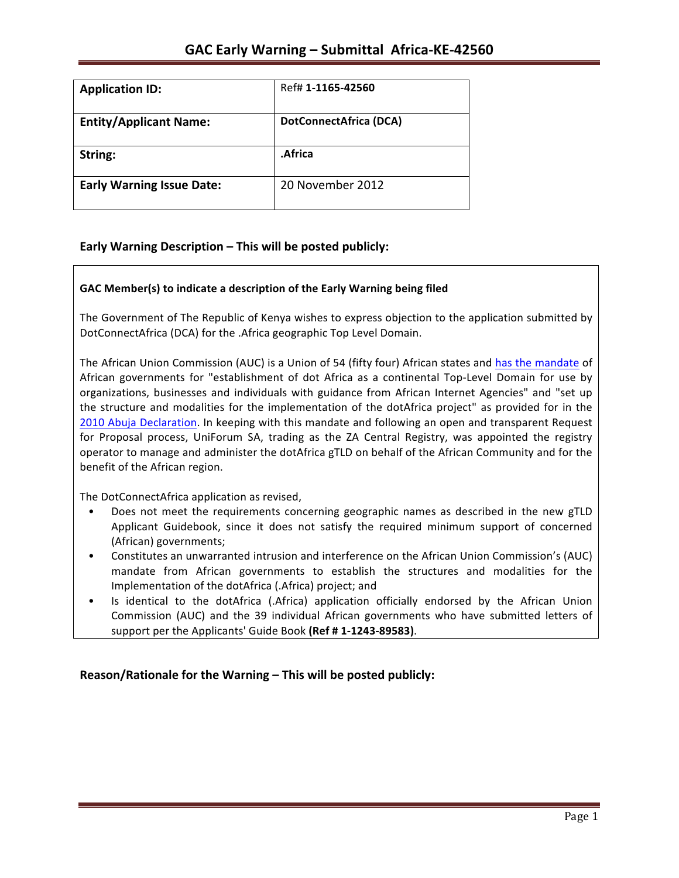| <b>Application ID:</b>           | Ref# 1-1165-42560             |
|----------------------------------|-------------------------------|
| <b>Entity/Applicant Name:</b>    | <b>DotConnectAfrica (DCA)</b> |
| String:                          | .Africa                       |
| <b>Early Warning Issue Date:</b> | 20 November 2012              |

### **Early Warning Description – This will be posted publicly:**

### GAC Member(s) to indicate a description of the Early Warning being filed

The Government of The Republic of Kenya wishes to express objection to the application submitted by DotConnectAfrica (DCA) for the .Africa geographic Top Level Domain.

The African Union Commission (AUC) is a Union of 54 (fifty four) African states and has the mandate of African governments for "establishment of dot Africa as a continental Top-Level Domain for use by organizations, businesses and individuals with guidance from African Internet Agencies" and "set up the structure and modalities for the implementation of the dotAfrica project" as provided for in the 2010 Abuja Declaration. In keeping with this mandate and following an open and transparent Request for Proposal process, UniForum SA, trading as the ZA Central Registry, was appointed the registry operator to manage and administer the dotAfrica gTLD on behalf of the African Community and for the benefit of the African region.

The DotConnectAfrica application as revised,

- Does not meet the requirements concerning geographic names as described in the new gTLD Applicant Guidebook, since it does not satisfy the required minimum support of concerned (African) governments;
- Constitutes an unwarranted intrusion and interference on the African Union Commission's (AUC) mandate from African governments to establish the structures and modalities for the Implementation of the dotAfrica (.Africa) project; and
- Is identical to the dotAfrica (.Africa) application officially endorsed by the African Union Commission (AUC) and the 39 individual African governments who have submitted letters of support per the Applicants' Guide Book (Ref # 1-1243-89583).

**Reason/Rationale for the Warning – This will be posted publicly:**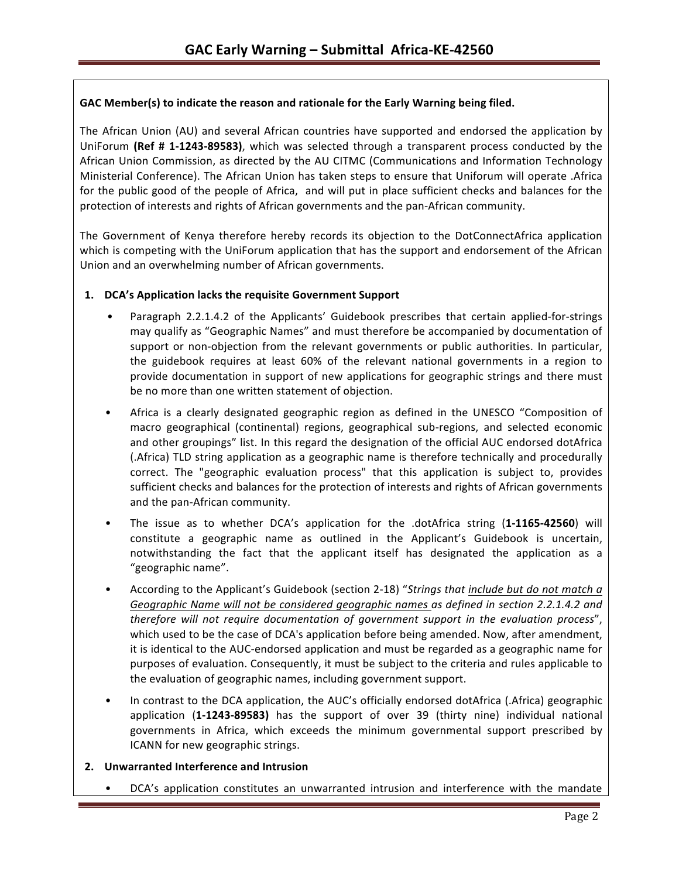### GAC Member(s) to indicate the reason and rationale for the Early Warning being filed.

The African Union (AU) and several African countries have supported and endorsed the application by UniForum (Ref # 1-1243-89583), which was selected through a transparent process conducted by the African Union Commission, as directed by the AU CITMC (Communications and Information Technology Ministerial Conference). The African Union has taken steps to ensure that Uniforum will operate .Africa for the public good of the people of Africa, and will put in place sufficient checks and balances for the protection of interests and rights of African governments and the pan-African community.

The Government of Kenya therefore hereby records its objection to the DotConnectAfrica application which is competing with the UniForum application that has the support and endorsement of the African Union and an overwhelming number of African governments.

### 1. **DCA's Application lacks the requisite Government Support**

- Paragraph 2.2.1.4.2 of the Applicants' Guidebook prescribes that certain applied-for-strings may qualify as "Geographic Names" and must therefore be accompanied by documentation of support or non-objection from the relevant governments or public authorities. In particular, the guidebook requires at least 60% of the relevant national governments in a region to provide documentation in support of new applications for geographic strings and there must be no more than one written statement of objection.
- Africa is a clearly designated geographic region as defined in the UNESCO "Composition of macro geographical (continental) regions, geographical sub-regions, and selected economic and other groupings" list. In this regard the designation of the official AUC endorsed dotAfrica (.Africa) TLD string application as a geographic name is therefore technically and procedurally correct. The "geographic evaluation process" that this application is subject to, provides sufficient checks and balances for the protection of interests and rights of African governments and the pan-African community.
- The issue as to whether DCA's application for the .dotAfrica string (1-1165-42560) will constitute a geographic name as outlined in the Applicant's Guidebook is uncertain, notwithstanding the fact that the applicant itself has designated the application as a "geographic name".
- According to the Applicant's Guidebook (section 2-18) "Strings that *include but do not match a* Geographic Name will not be considered geographic names as defined in section 2.2.1.4.2 and *therefore will not require documentation of government support in the evaluation process"*, which used to be the case of DCA's application before being amended. Now, after amendment, it is identical to the AUC-endorsed application and must be regarded as a geographic name for purposes of evaluation. Consequently, it must be subject to the criteria and rules applicable to the evaluation of geographic names, including government support.
- In contrast to the DCA application, the AUC's officially endorsed dotAfrica (.Africa) geographic application (1-1243-89583) has the support of over 39 (thirty nine) individual national governments in Africa, which exceeds the minimum governmental support prescribed by ICANN for new geographic strings.

### **2. Unwarranted Interference and Intrusion**

DCA's application constitutes an unwarranted intrusion and interference with the mandate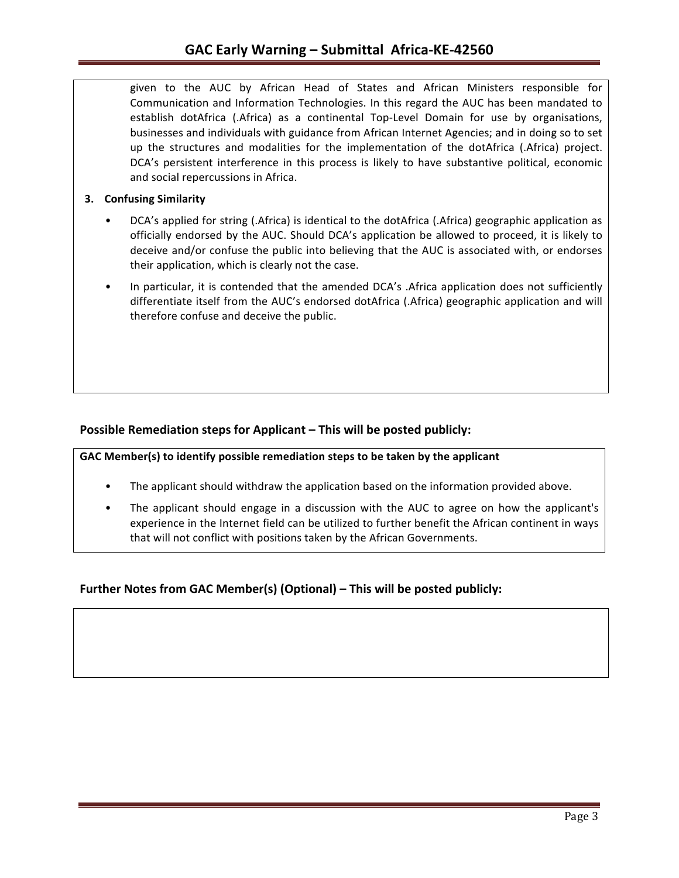given to the AUC by African Head of States and African Ministers responsible for Communication and Information Technologies. In this regard the AUC has been mandated to establish dotAfrica (.Africa) as a continental Top-Level Domain for use by organisations, businesses and individuals with guidance from African Internet Agencies; and in doing so to set up the structures and modalities for the implementation of the dotAfrica (.Africa) project. DCA's persistent interference in this process is likely to have substantive political, economic and social repercussions in Africa.

### **3. Confusing Similarity**

- DCA's applied for string (.Africa) is identical to the dotAfrica (.Africa) geographic application as officially endorsed by the AUC. Should DCA's application be allowed to proceed, it is likely to deceive and/or confuse the public into believing that the AUC is associated with, or endorses their application, which is clearly not the case.
- In particular, it is contended that the amended DCA's . Africa application does not sufficiently differentiate itself from the AUC's endorsed dotAfrica (.Africa) geographic application and will therefore confuse and deceive the public.

### **Possible Remediation steps for Applicant – This will be posted publicly:**

GAC Member(s) to identify possible remediation steps to be taken by the applicant

- The applicant should withdraw the application based on the information provided above.
- The applicant should engage in a discussion with the AUC to agree on how the applicant's experience in the Internet field can be utilized to further benefit the African continent in ways that will not conflict with positions taken by the African Governments.

## **Further Notes from GAC Member(s) (Optional) – This will be posted publicly:**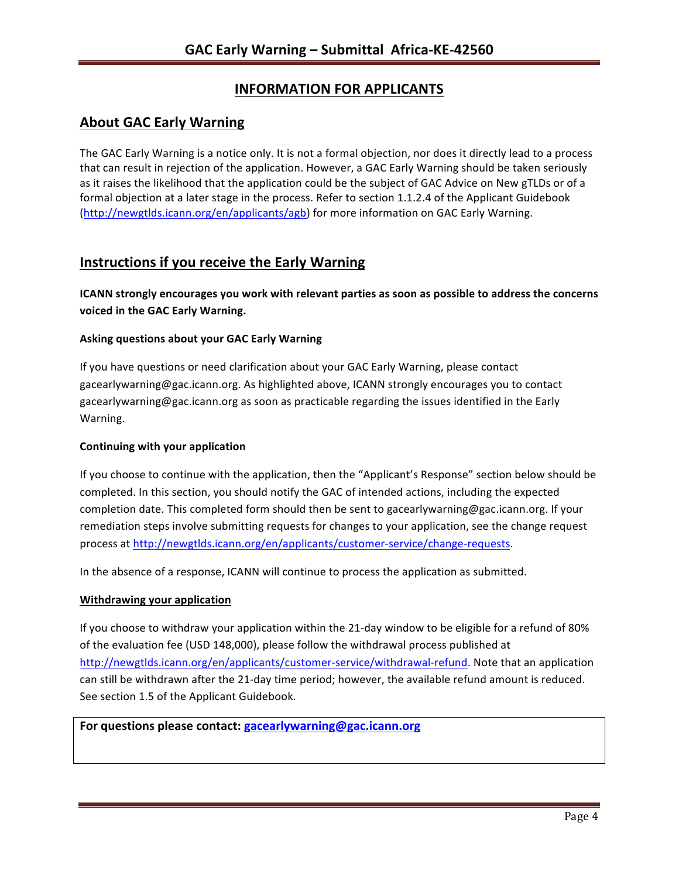# **INFORMATION FOR APPLICANTS**

## **About GAC Early Warning**

The GAC Early Warning is a notice only. It is not a formal objection, nor does it directly lead to a process that can result in rejection of the application. However, a GAC Early Warning should be taken seriously as it raises the likelihood that the application could be the subject of GAC Advice on New gTLDs or of a formal objection at a later stage in the process. Refer to section 1.1.2.4 of the Applicant Guidebook (http://newgtlds.icann.org/en/applicants/agb) for more information on GAC Early Warning.

## **Instructions if you receive the Early Warning**

**ICANN** strongly encourages you work with relevant parties as soon as possible to address the concerns voiced in the GAC Early Warning.

### **Asking questions about your GAC Early Warning**

If you have questions or need clarification about your GAC Early Warning, please contact gacearlywarning@gac.icann.org. As highlighted above, ICANN strongly encourages you to contact gacearlywarning@gac.icann.org as soon as practicable regarding the issues identified in the Early Warning. 

### **Continuing with your application**

If you choose to continue with the application, then the "Applicant's Response" section below should be completed. In this section, you should notify the GAC of intended actions, including the expected completion date. This completed form should then be sent to gacearlywarning@gac.icann.org. If your remediation steps involve submitting requests for changes to your application, see the change request process at http://newgtlds.icann.org/en/applicants/customer-service/change-requests.

In the absence of a response, ICANN will continue to process the application as submitted.

### **Withdrawing your application**

If you choose to withdraw your application within the 21-day window to be eligible for a refund of 80% of the evaluation fee (USD 148,000), please follow the withdrawal process published at http://newgtlds.icann.org/en/applicants/customer-service/withdrawal-refund. Note that an application can still be withdrawn after the 21-day time period; however, the available refund amount is reduced. See section 1.5 of the Applicant Guidebook.

### For questions please contact: gacearlywarning@gac.icann.org